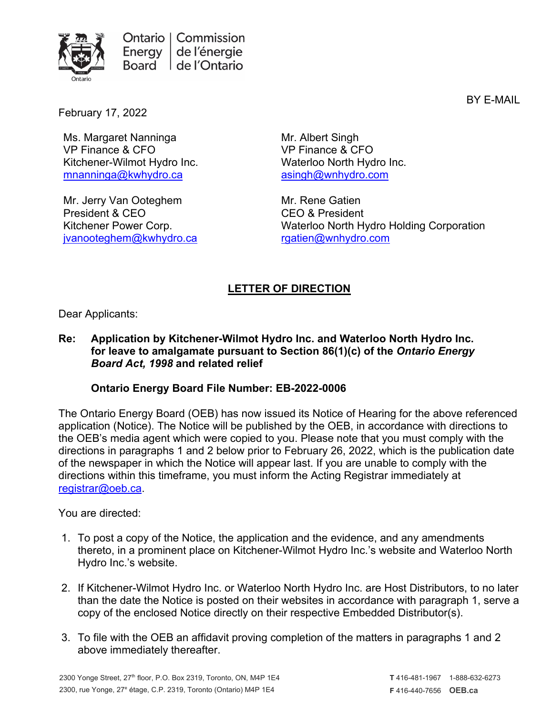

BY E-MAIL

February 17, 2022

Ms. Margaret Nanninga VP Finance & CFO Kitchener-Wilmot Hydro Inc. [mnanninga@kwhydro.ca](mailto:mnanninga@kwhydro.ca)

Mr. Jerry Van Ooteghem President & CEO Kitchener Power Corp. [jvanooteghem@kwhydro.ca](mailto:jvanooteghem@kwhydro.ca)

Mr. Albert Singh VP Finance & CFO Waterloo North Hydro Inc. [asingh@wnhydro.com](mailto:asingh@wnhydro.com)

Mr. Rene Gatien CEO & President Waterloo North Hydro Holding Corporation [rgatien@wnhydro.com](mailto:rgatien@wnhydro.com)

## **LETTER OF DIRECTION**

Dear Applicants:

## **Re: Application by Kitchener-Wilmot Hydro Inc. and Waterloo North Hydro Inc. for leave to amalgamate pursuant to Section 86(1)(c) of the** *Ontario Energy Board Act, 1998* **and related relief**

## **Ontario Energy Board File Number: EB-2022-0006**

The Ontario Energy Board (OEB) has now issued its Notice of Hearing for the above referenced application (Notice). The Notice will be published by the OEB, in accordance with directions to the OEB's media agent which were copied to you. Please note that you must comply with the directions in paragraphs 1 and 2 below prior to February 26, 2022, which is the publication date of the newspaper in which the Notice will appear last. If you are unable to comply with the directions within this timeframe, you must inform the Acting Registrar immediately at [registrar@oeb.ca.](mailto:registrar@oeb.ca)

You are directed:

- 1. To post a copy of the Notice, the application and the evidence, and any amendments thereto, in a prominent place on Kitchener-Wilmot Hydro Inc.'s website and Waterloo North Hydro Inc.'s website.
- 2. If Kitchener-Wilmot Hydro Inc. or Waterloo North Hydro Inc. are Host Distributors, to no later than the date the Notice is posted on their websites in accordance with paragraph 1, serve a copy of the enclosed Notice directly on their respective Embedded Distributor(s).
- 3. To file with the OEB an affidavit proving completion of the matters in paragraphs 1 and 2 above immediately thereafter.